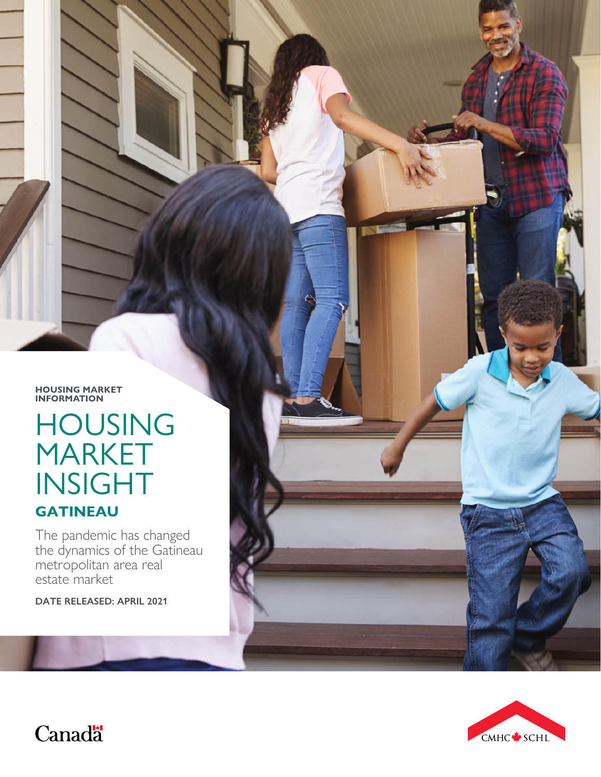**HOUSING MARKET INFORMATION**

# HOUSING MARKET INSIGHT **GATINEAU**

The pandemic has changed the dynamics of the Gatineau metropolitan area real estate market

**DATE RELEASED: APRIL 2021**



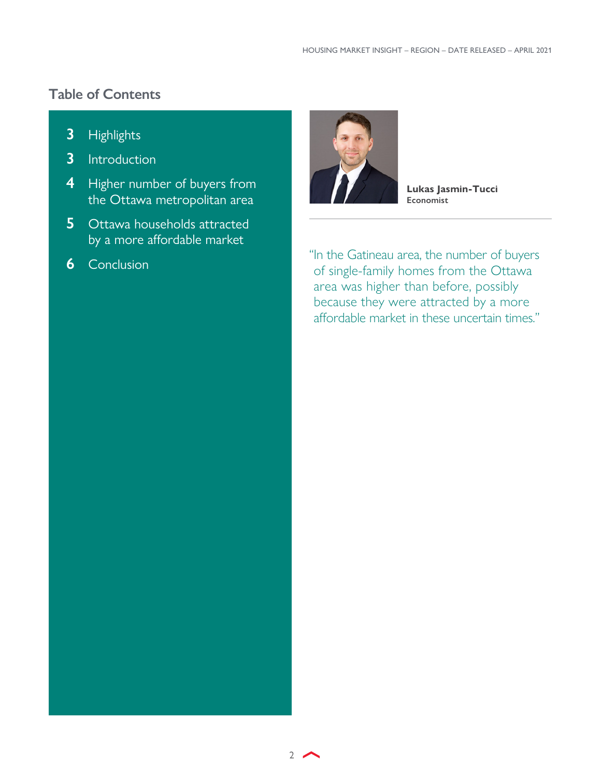## <span id="page-1-0"></span>**Table of Contents**

- **3** [Highlights](#page-2-0)
- **3** [Introduction](#page-2-0)
- **4** [Higher number of buyers from](#page-3-0)  [the Ottawa metropolitan area](#page-3-0)
- **5** Ottawa households attracted [by a more affordable market](#page-4-0)
- **6** [Conclusion](#page-5-0)



**Lukas Jasmin-Tucci Economist**

"In the Gatineau area, the number of buyers of single-family homes from the Ottawa area was higher than before, possibly because they were attracted by a more affordable market in these uncertain times."

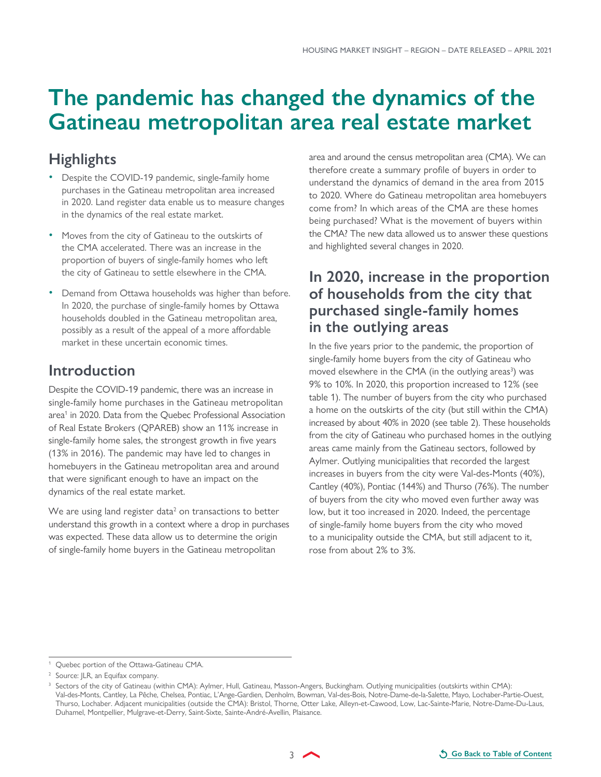## <span id="page-2-0"></span>**The pandemic has changed the dynamics of the Gatineau metropolitan area real estate market**

### **Highlights**

- Despite the COVID-19 pandemic, single-family home purchases in the Gatineau metropolitan area increased in 2020. Land register data enable us to measure changes in the dynamics of the real estate market.
- Moves from the city of Gatineau to the outskirts of the CMA accelerated. There was an increase in the proportion of buyers of single-family homes who left the city of Gatineau to settle elsewhere in the CMA.
- Demand from Ottawa households was higher than before. In 2020, the purchase of single-family homes by Ottawa households doubled in the Gatineau metropolitan area, possibly as a result of the appeal of a more affordable market in these uncertain economic times.

#### **Introduction**

Despite the COVID-19 pandemic, there was an increase in single-family home purchases in the Gatineau metropolitan area<sup>1</sup> in 2020. Data from the Quebec Professional Association of Real Estate Brokers (QPAREB) show an 11% increase in single-family home sales, the strongest growth in five years (13% in 2016). The pandemic may have led to changes in homebuyers in the Gatineau metropolitan area and around that were significant enough to have an impact on the dynamics of the real estate market.

We are using land register data $2$  on transactions to better understand this growth in a context where a drop in purchases was expected. These data allow us to determine the origin of single-family home buyers in the Gatineau metropolitan

area and around the census metropolitan area (CMA). We can therefore create a summary profile of buyers in order to understand the dynamics of demand in the area from 2015 to 2020. Where do Gatineau metropolitan area homebuyers come from? In which areas of the CMA are these homes being purchased? What is the movement of buyers within the CMA? The new data allowed us to answer these questions and highlighted several changes in 2020.

### **In 2020, increase in the proportion of households from the city that purchased single-family homes in the outlying areas**

In the five years prior to the pandemic, the proportion of single-family home buyers from the city of Gatineau who moved elsewhere in the CMA (in the outlying areas<sup>3</sup>) was 9% to 10%. In 2020, this proportion increased to 12% (see table 1). The number of buyers from the city who purchased a home on the outskirts of the city (but still within the CMA) increased by about 40% in 2020 (see table 2). These households from the city of Gatineau who purchased homes in the outlying areas came mainly from the Gatineau sectors, followed by Aylmer. Outlying municipalities that recorded the largest increases in buyers from the city were Val-des-Monts (40%), Cantley (40%), Pontiac (144%) and Thurso (76%). The number of buyers from the city who moved even further away was low, but it too increased in 2020. Indeed, the percentage of single-family home buyers from the city who moved to a municipality outside the CMA, but still adjacent to it, rose from about 2% to 3%.

<sup>1</sup> Quebec portion of the Ottawa-Gatineau CMA.

<sup>&</sup>lt;sup>2</sup> Source: JLR, an Equifax company.

<sup>3</sup> Sectors of the city of Gatineau (within CMA): Aylmer, Hull, Gatineau, Masson-Angers, Buckingham. Outlying municipalities (outskirts within CMA): Val-des-Monts, Cantley, La Pêche, Chelsea, Pontiac, L'Ange-Gardien, Denholm, Bowman, Val-des-Bois, Notre-Dame-de-la-Salette, Mayo, Lochaber-Partie-Ouest, Thurso, Lochaber. Adjacent municipalities (outside the CMA): Bristol, Thorne, Otter Lake, Alleyn-et-Cawood, Low, Lac-Sainte-Marie, Notre-Dame-Du-Laus, Duhamel, Montpellier, Mulgrave-et-Derry, Saint-Sixte, Sainte-André-Avellin, Plaisance.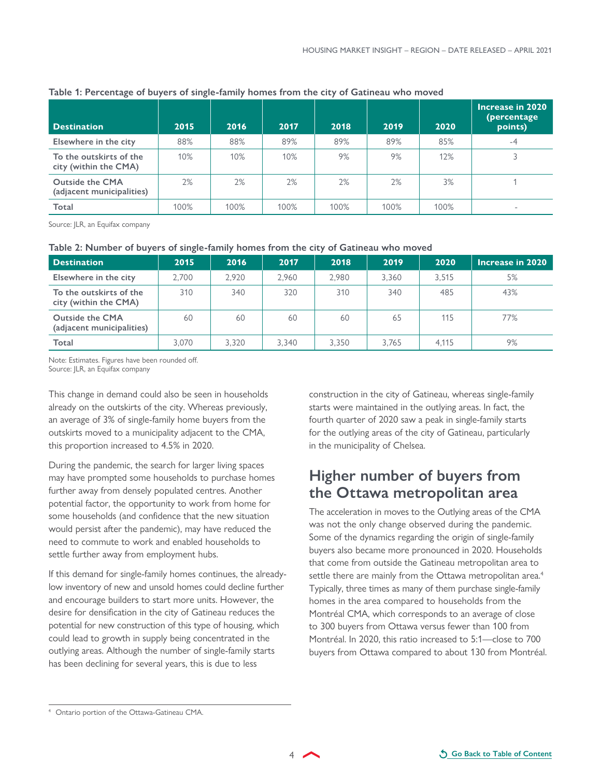| <b>Destination</b>                                  | 2015 | 2016 | 2017   | 2018 | 2019 | 2020 | Increase in 2020<br>(percentage<br>points) |
|-----------------------------------------------------|------|------|--------|------|------|------|--------------------------------------------|
| Elsewhere in the city                               | 88%  | 88%  | 89%    | 89%  | 89%  | 85%  | -4                                         |
| To the outskirts of the<br>city (within the CMA)    | 10%  | 10%  | $10\%$ | 9%   | 9%   | 12%  |                                            |
| <b>Outside the CMA</b><br>(adjacent municipalities) | 2%   | 2%   | 2%     | 2%   | 2%   | 3%   |                                            |
| Total                                               | 100% | 100% | 100%   | 100% | 100% | 100% | $\overline{\phantom{a}}$                   |

#### <span id="page-3-0"></span>**Table 1: Percentage of buyers of single-family homes from the city of Gatineau who moved**

Source: JLR, an Equifax company

#### **Table 2: Number of buyers of single-family homes from the city of Gatineau who moved**

| <b>Destination</b>                                  | 2015  | 2016  | 2017  | 2018  | 2019  | 2020  | Increase in 2020 |
|-----------------------------------------------------|-------|-------|-------|-------|-------|-------|------------------|
| Elsewhere in the city                               | 2.700 | 2.920 | 2.960 | 2.980 | 3.360 | 3.515 | 5%               |
| To the outskirts of the<br>city (within the CMA)    | 310   | 340   | 320   | 310   | 340   | 485   | 43%              |
| <b>Outside the CMA</b><br>(adjacent municipalities) | 60    | 60    | 60    | 60    | 65    | 115   | 77%              |
| Total                                               | 3.070 | 3.320 | 3.340 | 3.350 | 3.765 | 4.115 | 9%               |

Note: Estimates. Figures have been rounded off. Source: JLR, an Equifax company

This change in demand could also be seen in households already on the outskirts of the city. Whereas previously, an average of 3% of single-family home buyers from the outskirts moved to a municipality adjacent to the CMA, this proportion increased to 4.5% in 2020.

During the pandemic, the search for larger living spaces may have prompted some households to purchase homes further away from densely populated centres. Another potential factor, the opportunity to work from home for some households (and confidence that the new situation would persist after the pandemic), may have reduced the need to commute to work and enabled households to settle further away from employment hubs.

If this demand for single-family homes continues, the alreadylow inventory of new and unsold homes could decline further and encourage builders to start more units. However, the desire for densification in the city of Gatineau reduces the potential for new construction of this type of housing, which could lead to growth in supply being concentrated in the outlying areas. Although the number of single-family starts has been declining for several years, this is due to less

construction in the city of Gatineau, whereas single-family starts were maintained in the outlying areas. In fact, the fourth quarter of 2020 saw a peak in single-family starts for the outlying areas of the city of Gatineau, particularly in the municipality of Chelsea.

## **Higher number of buyers from the Ottawa metropolitan area**

The acceleration in moves to the Outlying areas of the CMA was not the only change observed during the pandemic. Some of the dynamics regarding the origin of single-family buyers also became more pronounced in 2020. Households that come from outside the Gatineau metropolitan area to settle there are mainly from the Ottawa metropolitan area.<sup>4</sup> Typically, three times as many of them purchase single-family homes in the area compared to households from the Montréal CMA, which corresponds to an average of close to 300 buyers from Ottawa versus fewer than 100 from Montréal. In 2020, this ratio increased to 5:1—close to 700 buyers from Ottawa compared to about 130 from Montréal.

<sup>4</sup> Ontario portion of the Ottawa-Gatineau CMA.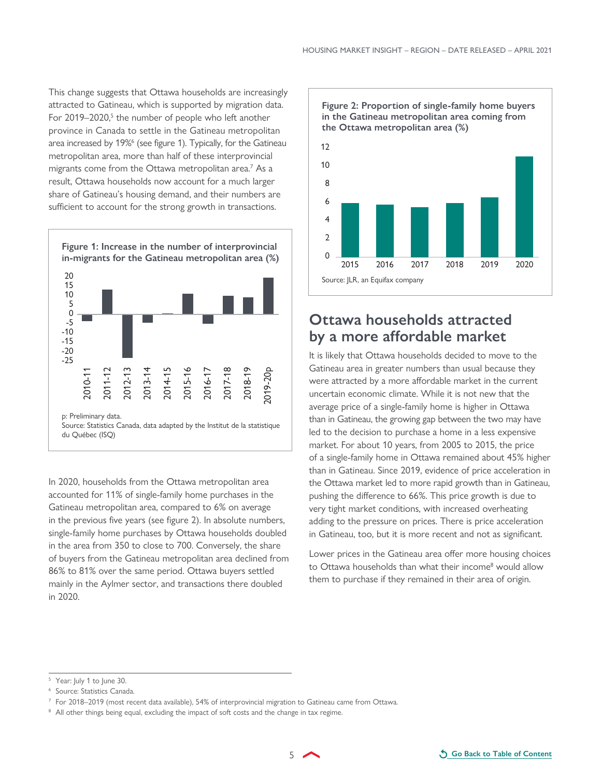<span id="page-4-0"></span>This change suggests that Ottawa households are increasingly attracted to Gatineau, which is supported by migration data. For 2019–2020,<sup>5</sup> the number of people who left another province in Canada to settle in the Gatineau metropolitan area increased by 19%<sup>6</sup> (see figure 1). Typically, for the Gatineau metropolitan area, more than half of these interprovincial migrants come from the Ottawa metropolitan area.7 As a result, Ottawa households now account for a much larger share of Gatineau's housing demand, and their numbers are sufficient to account for the strong growth in transactions.



In 2020, households from the Ottawa metropolitan area accounted for 11% of single-family home purchases in the Gatineau metropolitan area, compared to 6% on average in the previous five years (see figure 2). In absolute numbers, single-family home purchases by Ottawa households doubled in the area from 350 to close to 700. Conversely, the share of buyers from the Gatineau metropolitan area declined from 86% to 81% over the same period. Ottawa buyers settled mainly in the Aylmer sector, and transactions there doubled in 2020.



#### **Ottawa households attracted by a more affordable market**

It is likely that Ottawa households decided to move to the Gatineau area in greater numbers than usual because they were attracted by a more affordable market in the current uncertain economic climate. While it is not new that the average price of a single-family home is higher in Ottawa than in Gatineau, the growing gap between the two may have led to the decision to purchase a home in a less expensive market. For about 10 years, from 2005 to 2015, the price of a single-family home in Ottawa remained about 45% higher than in Gatineau. Since 2019, evidence of price acceleration in the Ottawa market led to more rapid growth than in Gatineau, pushing the difference to 66%. This price growth is due to very tight market conditions, with increased overheating adding to the pressure on prices. There is price acceleration in Gatineau, too, but it is more recent and not as significant.

Lower prices in the Gatineau area offer more housing choices to Ottawa households than what their income<sup>8</sup> would allow them to purchase if they remained in their area of origin.

Year: July 1 to June 30.

<sup>6</sup> Source: Statistics Canada.

 $^7\,$  For 2018–2019 (most recent data available), 54% of interprovincial migration to Gatineau came from Ottawa.

<sup>&</sup>lt;sup>8</sup> All other things being equal, excluding the impact of soft costs and the change in tax regime.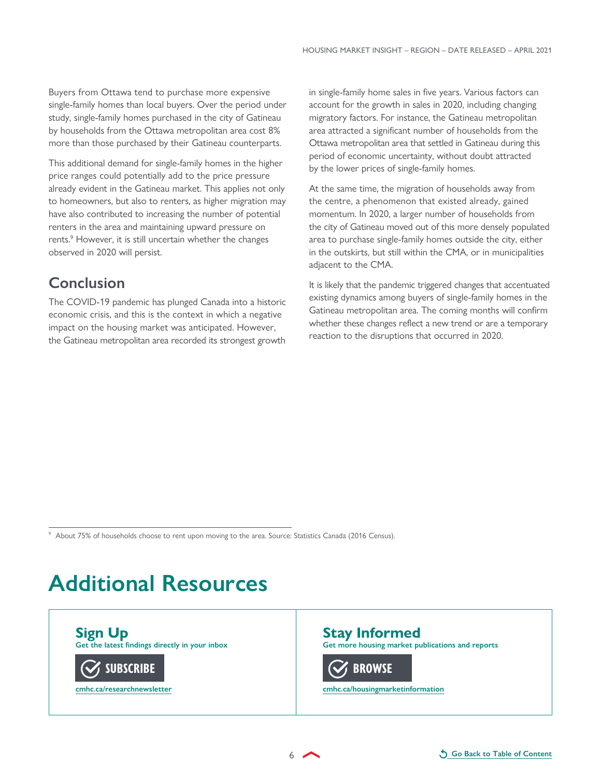<span id="page-5-0"></span>Buyers from Ottawa tend to purchase more expensive single-family homes than local buyers. Over the period under study, single-family homes purchased in the city of Gatineau by households from the Ottawa metropolitan area cost 8% more than those purchased by their Gatineau counterparts.

This additional demand for single-family homes in the higher price ranges could potentially add to the price pressure already evident in the Gatineau market. This applies not only to homeowners, but also to renters, as higher migration may have also contributed to increasing the number of potential renters in the area and maintaining upward pressure on rents.<sup>9</sup> However, it is still uncertain whether the changes observed in 2020 will persist.

## **Conclusion**

The COVID-19 pandemic has plunged Canada into a historic economic crisis, and this is the context in which a negative impact on the housing market was anticipated. However, the Gatineau metropolitan area recorded its strongest growth in single-family home sales in five years. Various factors can account for the growth in sales in 2020, including changing migratory factors. For instance, the Gatineau metropolitan area attracted a significant number of households from the Ottawa metropolitan area that settled in Gatineau during this period of economic uncertainty, without doubt attracted by the lower prices of single-family homes.

At the same time, the migration of households away from the centre, a phenomenon that existed already, gained momentum. In 2020, a larger number of households from the city of Gatineau moved out of this more densely populated area to purchase single-family homes outside the city, either in the outskirts, but still within the CMA, or in municipalities adjacent to the CMA.

It is likely that the pandemic triggered changes that accentuated existing dynamics among buyers of single-family homes in the Gatineau metropolitan area. The coming months will confirm whether these changes reflect a new trend or are a temporary reaction to the disruptions that occurred in 2020.

9 About 75% of households choose to rent upon moving to the area. Source: Statistics Canada (2016 Census).

## **Additional Resources**

**Sign Up Get the latest findings directly in your inbox**



**Stay Informed Get more housing market publications and reports**

**[BROWSE](https://www.cmhc-schl.gc.ca/en/data-and-research)**

**[cmhc.ca/housingmarketinformation](https://www.cmhc-schl.gc.ca/en/data-and-research)**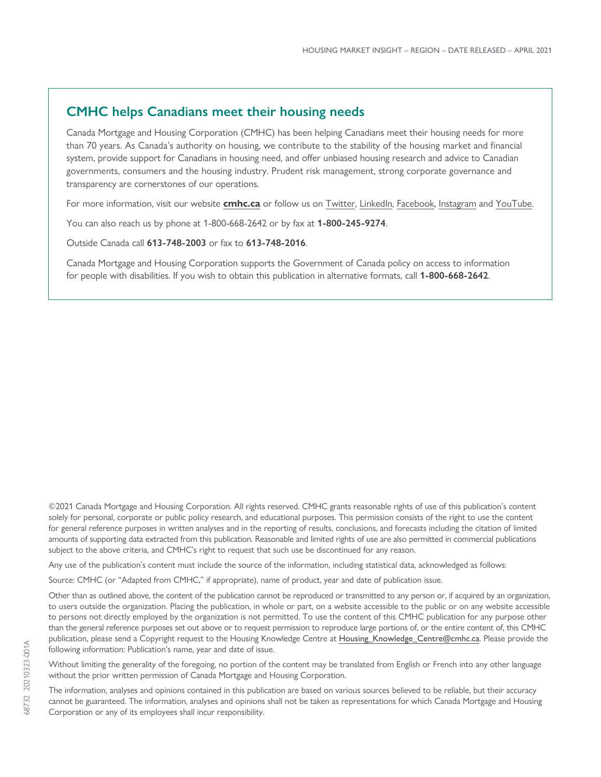#### **CMHC helps Canadians meet their housing needs**

Canada Mortgage and Housing Corporation (CMHC) has been helping Canadians meet their housing needs for more than 70 years. As Canada's authority on housing, we contribute to the stability of the housing market and financial system, provide support for Canadians in housing need, and offer unbiased housing research and advice to Canadian governments, consumers and the housing industry. Prudent risk management, strong corporate governance and transparency are cornerstones of our operations.

For more information, visit our website **[cmhc.ca](https://www.cmhc-schl.gc.ca/en)** or follow us on [Twitter,](http://www.twitter.com/CMHC_ca) [LinkedIn,](http://www.linkedin.com/company/canada-mortgage-and-housing-corporation) [Facebook](https://www.facebook.com/cmhc.schl), [Instagram](https://www.instagram.com/cmhc_schl/) and [YouTube](http://www.youtube.com/CMHCca).

You can also reach us by phone at 1-800-668-2642 or by fax at **1-800-245-9274**.

Outside Canada call **613-748-2003** or fax to **613-748-2016**.

Canada Mortgage and Housing Corporation supports the Government of Canada policy on access to information for people with disabilities. If you wish to obtain this publication in alternative formats, call **1-800-668-2642**.

©2021 Canada Mortgage and Housing Corporation. All rights reserved. CMHC grants reasonable rights of use of this publication's content solely for personal, corporate or public policy research, and educational purposes. This permission consists of the right to use the content for general reference purposes in written analyses and in the reporting of results, conclusions, and forecasts including the citation of limited amounts of supporting data extracted from this publication. Reasonable and limited rights of use are also permitted in commercial publications subject to the above criteria, and CMHC's right to request that such use be discontinued for any reason.

Any use of the publication's content must include the source of the information, including statistical data, acknowledged as follows:

Source: CMHC (or "Adapted from CMHC," if appropriate), name of product, year and date of publication issue.

Other than as outlined above, the content of the publication cannot be reproduced or transmitted to any person or, if acquired by an organization, to users outside the organization. Placing the publication, in whole or part, on a website accessible to the public or on any website accessible to persons not directly employed by the organization is not permitted. To use the content of this CMHC publication for any purpose other than the general reference purposes set out above or to request permission to reproduce large portions of, or the entire content of, this CMHC publication, please send a Copyright request to the Housing Knowledge Centre at [Housing\\_Knowledge\\_Centre@cmhc.ca](mailto:Housing_Knowledge_Centre@cmhc.ca). Please provide the following information: Publication's name, year and date of issue.

Without limiting the generality of the foregoing, no portion of the content may be translated from English or French into any other language without the prior written permission of Canada Mortgage and Housing Corporation.

The information, analyses and opinions contained in this publication are based on various sources believed to be reliable, but their accuracy cannot be guaranteed. The information, analyses and opinions shall not be taken as representations for which Canada Mortgage and Housing Corporation or any of its employees shall incur responsibility.